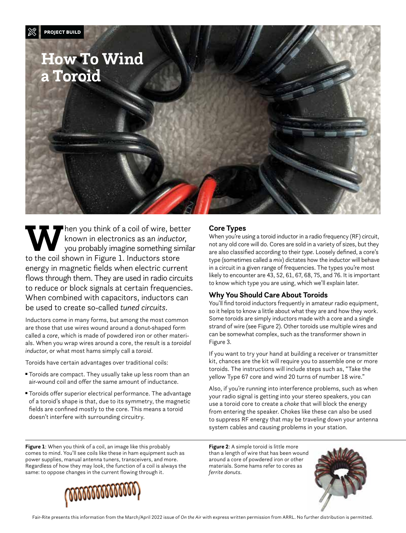

Then you think of a coil of wire, better<br>known in electronics as an *inductor*,<br>to the coil shown in Figure 1, Inductors store known in electronics as an *inductor*, you probably imagine something similar to the coil shown in Figure 1. Inductors store energy in magnetic fields when electric current flows through them. They are used in radio circuits to reduce or block signals at certain frequencies. When combined with capacitors, inductors can be used to create so-called *tuned circuits*.

Inductors come in many forms, but among the most common are those that use wires wound around a donut-shaped form called a *core*, which is made of powdered iron or other materials. When you wrap wires around a core, the result is a *toroidal inductor*, or what most hams simply call a *toroid*.

Toroids have certain advantages over traditional coils:

- Toroids are compact. They usually take up less room than an air-wound coil and offer the same amount of inductance.
- Toroids offer superior electrical performance. The advantage of a toroid's shape is that, due to its symmetry, the magnetic fields are confined mostly to the core. This means a toroid doesn't interfere with surrounding circuitry.

#### **Core Types**

When you're using a toroid inductor in a radio frequency (RF) circuit, not any old core will do. Cores are sold in a variety of sizes, but they are also classified according to their *type*. Loosely defined, a core's type (sometimes called a *mix*) dictates how the inductor will behave in a circuit in a given range of frequencies. The types you're most likely to encounter are 43, 52, 61, 67, 68, 75, and 76. It is important to know which type you are using, which we'll explain later.

#### **Why You Should Care About Toroids**

You'll find toroid inductors frequently in amateur radio equipment, so it helps to know a little about what they are and how they work. Some toroids are simply inductors made with a core and a single strand of wire (see Figure 2). Other toroids use multiple wires and can be somewhat complex, such as the transformer shown in Figure 3.

If you want to try your hand at building a receiver or transmitter kit, chances are the kit will require you to assemble one or more toroids. The instructions will include steps such as, "Take the yellow Type 67 core and wind 20 turns of number 18 wire."

Also, if you're running into interference problems, such as when your radio signal is getting into your stereo speakers, you can use a toroid core to create a *choke* that will block the energy from entering the speaker. Chokes like these can also be used to suppress RF energy that may be traveling down your antenna system cables and causing problems in your station.

**Figure 1**: When you think of a coil, an image like this probably comes to mind. You'll see coils like these in ham equipment such as power supplies, manual antenna tuners, transceivers, and more. Regardless of how they may look, the function of a coil is always the same: to oppose changes in the current flowing through it.



**Figure 2**: A simple toroid is little more than a length of wire that has been wound around a core of powdered iron or other materials. Some hams refer to cores as *ferrite donuts*.

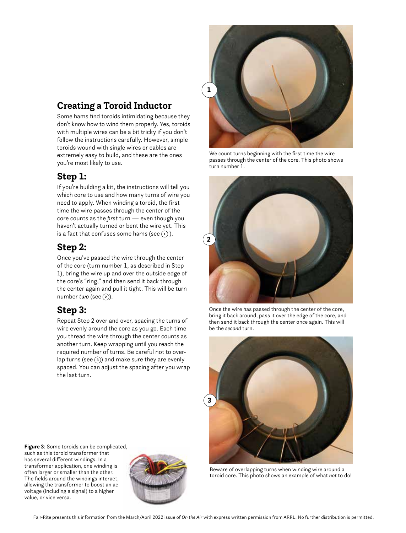# **Creating a Toroid Inductor**

Some hams find toroids intimidating because they don't know how to wind them properly. Yes, toroids with multiple wires can be a bit tricky if you don't follow the instructions carefully. However, simple toroids wound with single wires or cables are extremely easy to build, and these are the ones you're most likely to use.

### **Step 1:**

If you're building a kit, the instructions will tell you which core to use and how many turns of wire you need to apply. When winding a toroid, the first time the wire passes through the center of the core counts as the *first* turn — even though you haven't actually turned or bent the wire yet. This is a fact that confuses some hams (see  $(1)$ ).

## **Step 2:**

Once you've passed the wire through the center of the core (turn number 1, as described in Step 1), bring the wire up and over the outside edge of the core's "ring," and then send it back through the center again and pull it tight. This will be turn number *two* (see **<sup>2</sup>** ).

### **Step 3:**

Repeat Step 2 over and over, spacing the turns of wire evenly around the core as you go. Each time you thread the wire through the center counts as another turn. Keep wrapping until you reach the required number of turns. Be careful not to overlap turns (see **<sup>3</sup>** ) and make sure they are evenly spaced. You can adjust the spacing after you wrap the last turn.

**Figure 3**: Some toroids can be complicated, such as this toroid transformer that has several different windings. In a transformer application, one winding is often larger or smaller than the other. The fields around the windings interact, allowing the transformer to boost an ac voltage (including a signal) to a higher value, or vice versa.





We count turns beginning with the first time the wire passes through the center of the core. This photo shows turn number 1.



Once the wire has passed through the center of the core, bring it back around, pass it over the edge of the core, and then send it back through the center once again. This will be the *second* turn.



Beware of overlapping turns when winding wire around a toroid core. This photo shows an example of what *not* to do!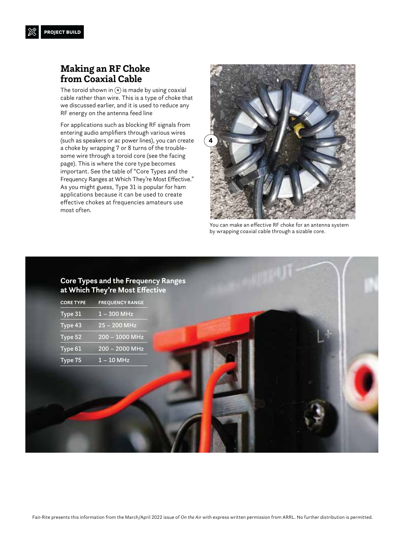#### **Making an RF Choke from Coaxial Cable**

The toroid shown in **<sup>4</sup>** is made by using coaxial cable rather than wire. This is a type of choke that we discussed earlier, and it is used to reduce any RF energy on the antenna feed line

For applications such as blocking RF signals from entering audio amplifiers through various wires (such as speakers or ac power lines), you can create a choke by wrapping 7 or 8 turns of the troublesome wire through a toroid core (see the facing page). This is where the core type becomes important. See the table of "Core Types and the Frequency Ranges at Which They're Most Effective." As you might guess, Type 31 is popular for ham applications because it can be used to create effective chokes at frequencies amateurs use most often.



You can make an effective RF choke for an antenna system by wrapping coaxial cable through a sizable core.